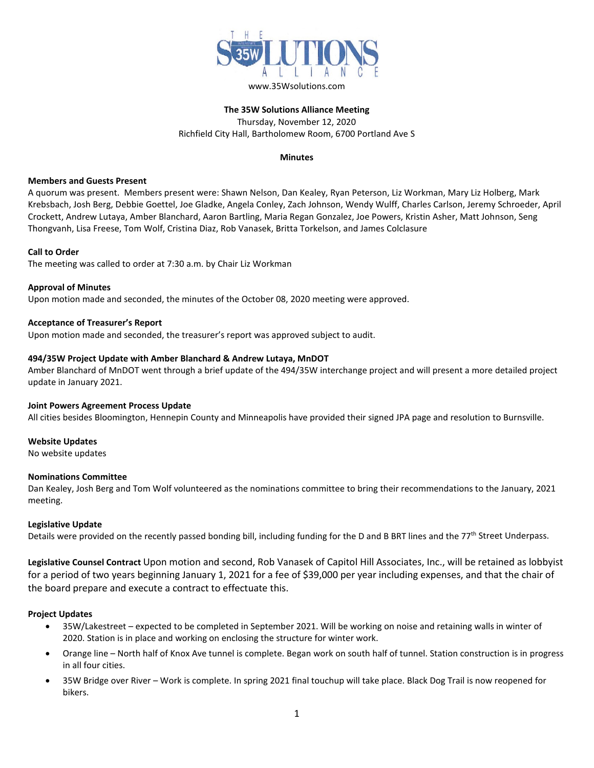

### **The 35W Solutions Alliance Meeting** Thursday, November 12, 2020 Richfield City Hall, Bartholomew Room, 6700 Portland Ave S

## **Minutes**

### **Members and Guests Present**

A quorum was present. Members present were: Shawn Nelson, Dan Kealey, Ryan Peterson, Liz Workman, Mary Liz Holberg, Mark Krebsbach, Josh Berg, Debbie Goettel, Joe Gladke, Angela Conley, Zach Johnson, Wendy Wulff, Charles Carlson, Jeremy Schroeder, April Crockett, Andrew Lutaya, Amber Blanchard, Aaron Bartling, Maria Regan Gonzalez, Joe Powers, Kristin Asher, Matt Johnson, Seng Thongvanh, Lisa Freese, Tom Wolf, Cristina Diaz, Rob Vanasek, Britta Torkelson, and James Colclasure

## **Call to Order**

The meeting was called to order at 7:30 a.m. by Chair Liz Workman

# **Approval of Minutes**

Upon motion made and seconded, the minutes of the October 08, 2020 meeting were approved.

## **Acceptance of Treasurer's Report**

Upon motion made and seconded, the treasurer's report was approved subject to audit.

### **494/35W Project Update with Amber Blanchard & Andrew Lutaya, MnDOT**

Amber Blanchard of MnDOT went through a brief update of the 494/35W interchange project and will present a more detailed project update in January 2021.

#### **Joint Powers Agreement Process Update**

All cities besides Bloomington, Hennepin County and Minneapolis have provided their signed JPA page and resolution to Burnsville.

## **Website Updates**

No website updates

#### **Nominations Committee**

Dan Kealey, Josh Berg and Tom Wolf volunteered as the nominations committee to bring their recommendations to the January, 2021 meeting.

## **Legislative Update**

Details were provided on the recently passed bonding bill, including funding for the D and B BRT lines and the 77<sup>th</sup> Street Underpass.

**Legislative Counsel Contract** Upon motion and second, Rob Vanasek of Capitol Hill Associates, Inc., will be retained as lobbyist for a period of two years beginning January 1, 2021 for a fee of \$39,000 per year including expenses, and that the chair of the board prepare and execute a contract to effectuate this.

## **Project Updates**

- 35W/Lakestreet expected to be completed in September 2021. Will be working on noise and retaining walls in winter of 2020. Station is in place and working on enclosing the structure for winter work.
- Orange line North half of Knox Ave tunnel is complete. Began work on south half of tunnel. Station construction is in progress in all four cities.
- 35W Bridge over River Work is complete. In spring 2021 final touchup will take place. Black Dog Trail is now reopened for bikers.